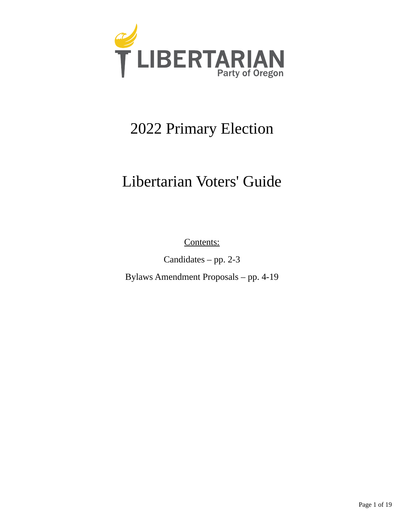

# 2022 Primary Election

# Libertarian Voters' Guide

Contents:

Candidates – pp. 2-3

Bylaws Amendment Proposals – pp. 4-19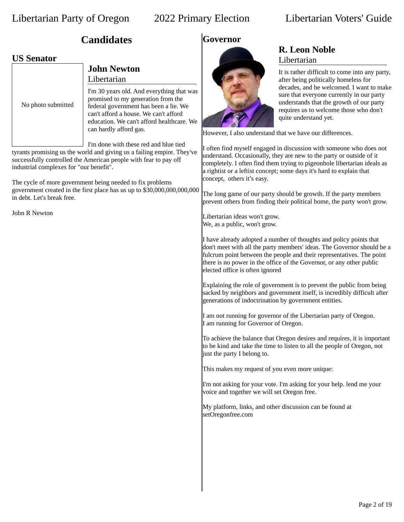## **Candidates**

## **US Senator**

|                    | <b>John Newton</b><br>Libertarian                                                                                                                                                                                                        |
|--------------------|------------------------------------------------------------------------------------------------------------------------------------------------------------------------------------------------------------------------------------------|
| No photo submitted | I'm 30 years old. And everything that was<br>promised to my generation from the<br>federal government has been a lie. We<br>can't afford a house. We can't afford<br>education. We can't afford healthcare. We<br>can hardly afford gas. |
|                    | I'm done with these red and blue tied<br>typente promising us the world and giving us a failing empire. Thou've                                                                                                                          |

tyrants promising us the world and giving us a failing empire. They've successfully controlled the American people with fear to pay off industrial complexes for "our benefit".

The cycle of more government being needed to fix problems government created in the first place has us up to \$30,000,000,000,000 in debt. Let's break free.

John R Newton

## **Governor**



## **R. Leon Noble** Libertarian

It is rather difficult to come into any party, after being politically homeless for decades, and be welcomed. I want to make sure that everyone currently in our party understands that the growth of our party requires us to welcome those who don't quite understand yet.

However, I also understand that we have our differences.

I often find myself engaged in discussion with someone who does not understand. Occasionally, they are new to the party or outside of it completely. I often find them trying to pigeonhole libertarian ideals as a rightist or a leftist concept; some days it's hard to explain that concept, others it's easy.

The long game of our party should be growth. If the party members prevent others from finding their political home, the party won't grow.

Libertarian ideas won't grow. We, as a public, won't grow.

I have already adopted a number of thoughts and policy points that don't meet with all the party members' ideas. The Governor should be a fulcrum point between the people and their representatives. The point there is no power in the office of the Governor, or any other public elected office is often ignored

Explaining the role of government is to prevent the public from being sacked by neighbors and government itself, is incredibly difficult after generations of indoctrination by government entities.

I am not running for governor of the Libertarian party of Oregon. I am running for Governor of Oregon.

To achieve the balance that Oregon desires and requires, it is important to be kind and take the time to listen to all the people of Oregon, not just the party I belong to.

This makes my request of you even more unique:

I'm not asking for your vote. I'm asking for your help. lend me your voice and together we will set Oregon free.

My platform, links, and other discussion can be found at setOregonfree.com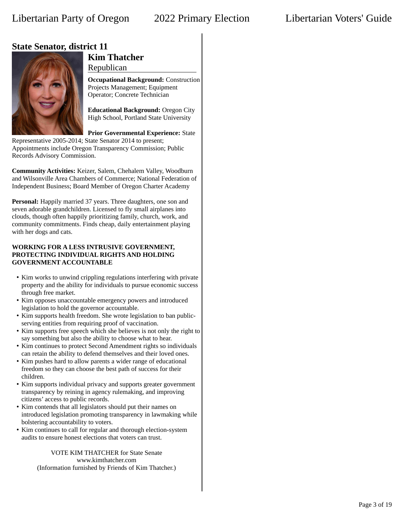## **State Senator, district 11**



## **Kim Thatcher**

Republican

**Occupational Background:** Construction Projects Management; Equipment Operator; Concrete Technician

**Educational Background:** Oregon City High School, Portland State University

**Prior Governmental Experience:** State

Representative 2005-2014; State Senator 2014 to present; Appointments include Oregon Transparency Commission; Public Records Advisory Commission.

**Community Activities:** Keizer, Salem, Chehalem Valley, Woodburn and Wilsonville Area Chambers of Commerce; National Federation of Independent Business; Board Member of Oregon Charter Academy

**Personal:** Happily married 37 years. Three daughters, one son and seven adorable grandchildren. Licensed to fly small airplanes into clouds, though often happily prioritizing family, church, work, and community commitments. Finds cheap, daily entertainment playing with her dogs and cats.

### **WORKING FOR A LESS INTRUSIVE GOVERNMENT, PROTECTING INDIVIDUAL RIGHTS AND HOLDING GOVERNMENT ACCOUNTABLE**

- Kim works to unwind crippling regulations interfering with private property and the ability for individuals to pursue economic success through free market.
- Kim opposes unaccountable emergency powers and introduced legislation to hold the governor accountable.
- Kim supports health freedom. She wrote legislation to ban publicserving entities from requiring proof of vaccination.
- Kim supports free speech which she believes is not only the right to say something but also the ability to choose what to hear.
- Kim continues to protect Second Amendment rights so individuals can retain the ability to defend themselves and their loved ones.
- Kim pushes hard to allow parents a wider range of educational freedom so they can choose the best path of success for their children.
- Kim supports individual privacy and supports greater government transparency by reining in agency rulemaking, and improving citizens' access to public records.
- Kim contends that all legislators should put their names on introduced legislation promoting transparency in lawmaking while bolstering accountability to voters.
- Kim continues to call for regular and thorough election-system audits to ensure honest elections that voters can trust.

VOTE KIM THATCHER for State Senate www.kimthatcher.com (Information furnished by Friends of Kim Thatcher.)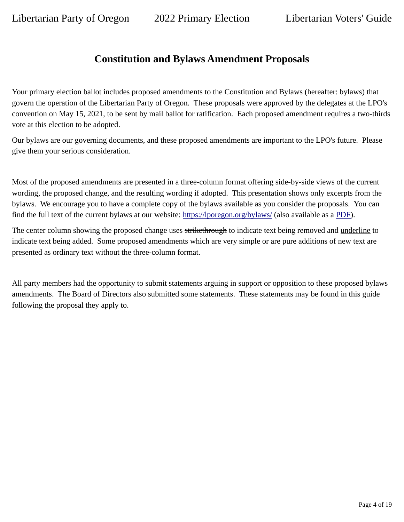## **Constitution and Bylaws Amendment Proposals**

Your primary election ballot includes proposed amendments to the Constitution and Bylaws (hereafter: bylaws) that govern the operation of the Libertarian Party of Oregon. These proposals were approved by the delegates at the LPO's convention on May 15, 2021, to be sent by mail ballot for ratification. Each proposed amendment requires a two-thirds vote at this election to be adopted.

Our bylaws are our governing documents, and these proposed amendments are important to the LPO's future. Please give them your serious consideration.

Most of the proposed amendments are presented in a three-column format offering side-by-side views of the current wording, the proposed change, and the resulting wording if adopted. This presentation shows only excerpts from the bylaws. We encourage you to have a complete copy of the bylaws available as you consider the proposals. You can find the full text of the current bylaws at our website: <https://lporegon.org/bylaws/> (also available as a [PDF](https://lporegon.org/wp-content/uploads/Bylaws_Policies/LPOConstBylaws2016.pdf)).

The center column showing the proposed change uses strikethrough to indicate text being removed and underline to indicate text being added. Some proposed amendments which are very simple or are pure additions of new text are presented as ordinary text without the three-column format.

All party members had the opportunity to submit statements arguing in support or opposition to these proposed bylaws amendments. The Board of Directors also submitted some statements. These statements may be found in this guide following the proposal they apply to.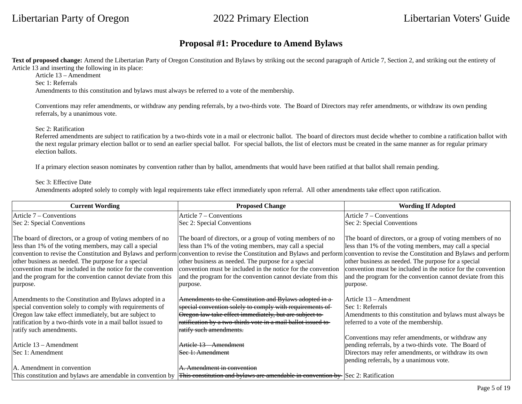## **Proposal #1: Procedure to Amend Bylaws**

Text of proposed change: Amend the Libertarian Party of Oregon Constitution and Bylaws by striking out the second paragraph of Article 7, Section 2, and striking out the entirety of Article 13 and inserting the following in its place:

Article 13 – Amendment

Sec 1: Referrals

Amendments to this constitution and bylaws must always be referred to a vote of the membership.

Conventions may refer amendments, or withdraw any pending referrals, by a two-thirds vote. The Board of Directors may refer amendments, or withdraw its own pending referrals, by a unanimous vote.

### Sec 2: Ratification

Referred amendments are subject to ratification by a two-thirds vote in a mail or electronic ballot. The board of directors must decide whether to combine a ratification ballot with the next regular primary election ballot or to send an earlier special ballot. For special ballots, the list of electors must be created in the same manner as for regular primary election ballots.

If a primary election season nominates by convention rather than by ballot, amendments that would have been ratified at that ballot shall remain pending.

### Sec 3: Effective Date

Amendments adopted solely to comply with legal requirements take effect immediately upon referral. All other amendments take effect upon ratification.

| <b>Current Wording</b>                                                                                                                                                                                                                                                                                                 | <b>Proposed Change</b>                                                                                                                                                                                                                                                                                                                                                                                                                                                                                           | <b>Wording If Adopted</b>                                                                                                                                                                                                                                                                                              |
|------------------------------------------------------------------------------------------------------------------------------------------------------------------------------------------------------------------------------------------------------------------------------------------------------------------------|------------------------------------------------------------------------------------------------------------------------------------------------------------------------------------------------------------------------------------------------------------------------------------------------------------------------------------------------------------------------------------------------------------------------------------------------------------------------------------------------------------------|------------------------------------------------------------------------------------------------------------------------------------------------------------------------------------------------------------------------------------------------------------------------------------------------------------------------|
| Article 7 – Conventions                                                                                                                                                                                                                                                                                                | Article 7 – Conventions                                                                                                                                                                                                                                                                                                                                                                                                                                                                                          | Article 7 - Conventions                                                                                                                                                                                                                                                                                                |
| Sec 2: Special Conventions                                                                                                                                                                                                                                                                                             | Sec 2: Special Conventions                                                                                                                                                                                                                                                                                                                                                                                                                                                                                       | Sec 2: Special Conventions                                                                                                                                                                                                                                                                                             |
| The board of directors, or a group of voting members of no<br>less than 1% of the voting members, may call a special<br>other business as needed. The purpose for a special<br>convention must be included in the notice for the convention<br>and the program for the convention cannot deviate from this<br>purpose. | The board of directors, or a group of voting members of no<br>less than 1% of the voting members, may call a special<br>convention to revise the Constitution and Bylaws and perform convention to revise the Constitution and Bylaws and perform convention to revise the Constitution and Bylaws and perform<br>other business as needed. The purpose for a special<br>convention must be included in the notice for the convention<br>and the program for the convention cannot deviate from this<br>purpose. | The board of directors, or a group of voting members of no<br>less than 1% of the voting members, may call a special<br>other business as needed. The purpose for a special<br>convention must be included in the notice for the convention<br>and the program for the convention cannot deviate from this<br>purpose. |
| Amendments to the Constitution and Bylaws adopted in a                                                                                                                                                                                                                                                                 | Amendments to the Constitution and Bylaws adopted in a-                                                                                                                                                                                                                                                                                                                                                                                                                                                          | Article 13 – Amendment                                                                                                                                                                                                                                                                                                 |
| special convention solely to comply with requirements of                                                                                                                                                                                                                                                               | special convention solely to comply with requirements of                                                                                                                                                                                                                                                                                                                                                                                                                                                         | Sec 1: Referrals                                                                                                                                                                                                                                                                                                       |
| Oregon law take effect immediately, but are subject to                                                                                                                                                                                                                                                                 | Oregon law take effect immediately, but are subject to                                                                                                                                                                                                                                                                                                                                                                                                                                                           | Amendments to this constitution and bylaws must always be                                                                                                                                                                                                                                                              |
| ratification by a two-thirds vote in a mail ballot issued to                                                                                                                                                                                                                                                           | ratification by a two-thirds vote in a mail ballot issued to-                                                                                                                                                                                                                                                                                                                                                                                                                                                    | referred to a vote of the membership.                                                                                                                                                                                                                                                                                  |
| ratify such amendments.                                                                                                                                                                                                                                                                                                | ratify such amendments.                                                                                                                                                                                                                                                                                                                                                                                                                                                                                          |                                                                                                                                                                                                                                                                                                                        |
| Article 13 – Amendment                                                                                                                                                                                                                                                                                                 | Article 13 – Amendment                                                                                                                                                                                                                                                                                                                                                                                                                                                                                           | Conventions may refer amendments, or withdraw any<br>pending referrals, by a two-thirds vote. The Board of                                                                                                                                                                                                             |
| Sec 1: Amendment                                                                                                                                                                                                                                                                                                       | Sec 1: Amendment                                                                                                                                                                                                                                                                                                                                                                                                                                                                                                 | Directors may refer amendments, or withdraw its own                                                                                                                                                                                                                                                                    |
| A. Amendment in convention                                                                                                                                                                                                                                                                                             | A. Amendment in convention                                                                                                                                                                                                                                                                                                                                                                                                                                                                                       | pending referrals, by a unanimous vote.                                                                                                                                                                                                                                                                                |
|                                                                                                                                                                                                                                                                                                                        | This constitution and bylaws are amendable in convention by $ \text{This constitution} \text{ and }$ bylaws are amendable in convention by $ \text{Sec 2: Rational} \text{ (a)} $                                                                                                                                                                                                                                                                                                                                |                                                                                                                                                                                                                                                                                                                        |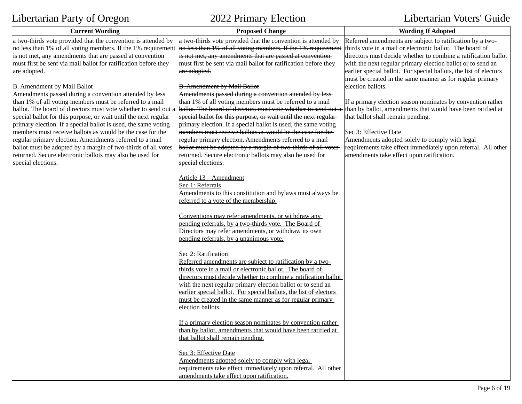| <b>Current Wording</b>                                                                                                                                                                                | <b>Proposed Change</b>                                                                                                                                                                                                                                         | <b>Wording If Adopted</b>                                                                                                      |
|-------------------------------------------------------------------------------------------------------------------------------------------------------------------------------------------------------|----------------------------------------------------------------------------------------------------------------------------------------------------------------------------------------------------------------------------------------------------------------|--------------------------------------------------------------------------------------------------------------------------------|
| $ a \text{ two-thirds vote provided that the convention is attended by }$<br>no less than 1% of all voting members. If the 1% requirement<br>is not met, any amendments that are passed at convention | $ a \text{ two-thirds vote provided that the convention is attended by-$<br>no less than 1% of all voting members. If the 1% requirement thirds vote in a mail or electronic ballot. The board of<br>is not met, any amendments that are passed at convention- | Referred amendments are subject to ratification by a two-<br>directors must decide whether to combine a ratification ballot    |
| must first be sent via mail ballot for ratification before they                                                                                                                                       | must first be sent via mail ballot for ratification before they-                                                                                                                                                                                               | with the next regular primary election ballot or to send an                                                                    |
| are adopted.                                                                                                                                                                                          | are adopted.                                                                                                                                                                                                                                                   | earlier special ballot. For special ballots, the list of electors<br>must be created in the same manner as for regular primary |
| B. Amendment by Mail Ballot                                                                                                                                                                           | <b>B.</b> Amendment by Mail Ballot                                                                                                                                                                                                                             | election ballots.                                                                                                              |
| Amendments passed during a convention attended by less                                                                                                                                                | Amendments passed during a convention attended by less-                                                                                                                                                                                                        |                                                                                                                                |
| than 1% of all voting members must be referred to a mail                                                                                                                                              | than 1% of all voting members must be referred to a mail-                                                                                                                                                                                                      | If a primary election season nominates by convention rather                                                                    |
| ballot. The board of directors must vote whether to send out a                                                                                                                                        | ballot. The board of directors must vote whether to send out a                                                                                                                                                                                                 | - than by ballot, amendments that would have been ratified at                                                                  |
| special ballot for this purpose, or wait until the next regular                                                                                                                                       | special ballot for this purpose, or wait until the next regular                                                                                                                                                                                                | that ballot shall remain pending.                                                                                              |
| primary election. If a special ballot is used, the same voting                                                                                                                                        | primary election. If a special ballot is used, the same voting                                                                                                                                                                                                 |                                                                                                                                |
| members must receive ballots as would be the case for the                                                                                                                                             | members must receive ballots as would be the case for the-                                                                                                                                                                                                     | Sec 3: Effective Date                                                                                                          |
| regular primary election. Amendments referred to a mail                                                                                                                                               | regular primary election. Amendments referred to a mail-                                                                                                                                                                                                       | Amendments adopted solely to comply with legal                                                                                 |
| ballot must be adopted by a margin of two-thirds of all votes                                                                                                                                         | ballot must be adopted by a margin of two-thirds of all votes                                                                                                                                                                                                  | requirements take effect immediately upon referral. All other                                                                  |
| returned. Secure electronic ballots may also be used for<br>special elections.                                                                                                                        | returned. Secure electronic ballots may also be used for-<br>special elections.                                                                                                                                                                                | amendments take effect upon ratification.                                                                                      |
|                                                                                                                                                                                                       |                                                                                                                                                                                                                                                                |                                                                                                                                |
|                                                                                                                                                                                                       | Article 13 - Amendment                                                                                                                                                                                                                                         |                                                                                                                                |
|                                                                                                                                                                                                       | Sec 1: Referrals                                                                                                                                                                                                                                               |                                                                                                                                |
|                                                                                                                                                                                                       | Amendments to this constitution and bylaws must always be                                                                                                                                                                                                      |                                                                                                                                |
|                                                                                                                                                                                                       | referred to a vote of the membership.                                                                                                                                                                                                                          |                                                                                                                                |
|                                                                                                                                                                                                       |                                                                                                                                                                                                                                                                |                                                                                                                                |
|                                                                                                                                                                                                       | Conventions may refer amendments, or withdraw any                                                                                                                                                                                                              |                                                                                                                                |
|                                                                                                                                                                                                       | pending referrals, by a two-thirds vote. The Board of                                                                                                                                                                                                          |                                                                                                                                |
|                                                                                                                                                                                                       | Directors may refer amendments, or withdraw its own                                                                                                                                                                                                            |                                                                                                                                |
|                                                                                                                                                                                                       | pending referrals, by a unanimous vote.                                                                                                                                                                                                                        |                                                                                                                                |
|                                                                                                                                                                                                       | Sec 2: Ratification                                                                                                                                                                                                                                            |                                                                                                                                |
|                                                                                                                                                                                                       | Referred amendments are subject to ratification by a two-                                                                                                                                                                                                      |                                                                                                                                |
|                                                                                                                                                                                                       | thirds vote in a mail or electronic ballot. The board of                                                                                                                                                                                                       |                                                                                                                                |
|                                                                                                                                                                                                       | directors must decide whether to combine a ratification ballot                                                                                                                                                                                                 |                                                                                                                                |
|                                                                                                                                                                                                       | with the next regular primary election ballot or to send an                                                                                                                                                                                                    |                                                                                                                                |
|                                                                                                                                                                                                       | earlier special ballot. For special ballots, the list of electors                                                                                                                                                                                              |                                                                                                                                |
|                                                                                                                                                                                                       | must be created in the same manner as for regular primary                                                                                                                                                                                                      |                                                                                                                                |
|                                                                                                                                                                                                       | election ballots.                                                                                                                                                                                                                                              |                                                                                                                                |
|                                                                                                                                                                                                       | If a primary election season nominates by convention rather                                                                                                                                                                                                    |                                                                                                                                |
|                                                                                                                                                                                                       | than by ballot, amendments that would have been ratified at                                                                                                                                                                                                    |                                                                                                                                |
|                                                                                                                                                                                                       | that ballot shall remain pending.                                                                                                                                                                                                                              |                                                                                                                                |
|                                                                                                                                                                                                       |                                                                                                                                                                                                                                                                |                                                                                                                                |
|                                                                                                                                                                                                       | Sec 3: Effective Date                                                                                                                                                                                                                                          |                                                                                                                                |
|                                                                                                                                                                                                       | Amendments adopted solely to comply with legal                                                                                                                                                                                                                 |                                                                                                                                |
|                                                                                                                                                                                                       | requirements take effect immediately upon referral. All other                                                                                                                                                                                                  |                                                                                                                                |
|                                                                                                                                                                                                       | amendments take effect upon ratification.                                                                                                                                                                                                                      |                                                                                                                                |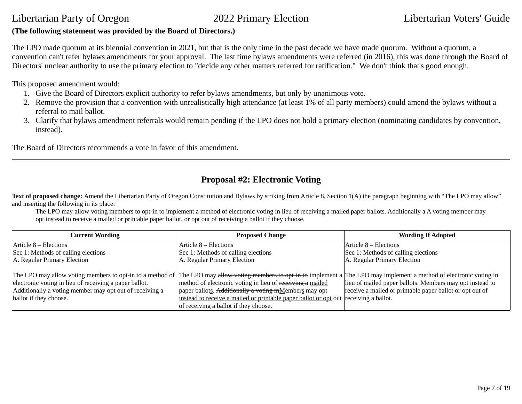## **(The following statement was provided by the Board of Directors.)**

The LPO made quorum at its biennial convention in 2021, but that is the only time in the past decade we have made quorum. Without a quorum, a convention can't refer bylaws amendments for your approval. The last time bylaws amendments were referred (in 2016), this was done through the Board of Directors' unclear authority to use the primary election to "decide any other matters referred for ratification." We don't think that's good enough.

This proposed amendment would:

- 1. Give the Board of Directors explicit authority to refer bylaws amendments, but only by unanimous vote.
- 2. Remove the provision that a convention with unrealistically high attendance (at least 1% of all party members) could amend the bylaws without a referral to mail ballot.
- 3. Clarify that bylaws amendment referrals would remain pending if the LPO does not hold a primary election (nominating candidates by convention, instead).

The Board of Directors recommends a vote in favor of this amendment.

## **Proposal #2: Electronic Voting**

Text of proposed change: Amend the Libertarian Party of Oregon Constitution and Bylaws by striking from Article 8, Section 1(A) the paragraph beginning with "The LPO may allow" and inserting the following in its place:

The LPO may allow voting members to opt-in to implement a method of electronic voting in lieu of receiving a mailed paper ballots. Additionally a A voting member may opt instead to receive a mailed or printable paper ballot, or opt out of receiving a ballot if they choose.

| <b>Current Wording</b>                                                                                              | <b>Proposed Change</b>                                                               | <b>Wording If Adopted</b>                                |
|---------------------------------------------------------------------------------------------------------------------|--------------------------------------------------------------------------------------|----------------------------------------------------------|
| $ Article 8 - Electronics$                                                                                          | Article 8 – Elections                                                                | Article 8 – Elections                                    |
| Sec 1: Methods of calling elections                                                                                 | Sec 1: Methods of calling elections                                                  | Sec 1: Methods of calling elections                      |
| A. Regular Primary Election                                                                                         | A. Regular Primary Election                                                          | A. Regular Primary Election                              |
|                                                                                                                     |                                                                                      |                                                          |
| The LPO may allow voting members to opt-in to a method of The LPO may allow voting members to opt-in to implement a |                                                                                      | The LPO may implement a method of electronic voting in   |
| electronic voting in lieu of receiving a paper ballot.                                                              | method of electronic voting in lieu of receiving a mailed                            | lieu of mailed paper ballots. Members may opt instead to |
| Additionally a voting member may opt out of receiving a                                                             | paper ballots. Additionally a voting mMembers may opt                                | receive a mailed or printable paper ballot or opt out of |
| ballot if they choose.                                                                                              | instead to receive a mailed or printable paper ballot or opt out receiving a ballot. |                                                          |
|                                                                                                                     | of receiving a ballot if they choose.                                                |                                                          |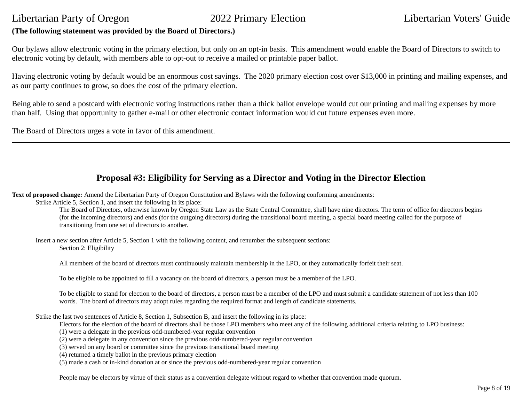## **(The following statement was provided by the Board of Directors.)**

Our bylaws allow electronic voting in the primary election, but only on an opt-in basis. This amendment would enable the Board of Directors to switch to electronic voting by default, with members able to opt-out to receive a mailed or printable paper ballot.

Having electronic voting by default would be an enormous cost savings. The 2020 primary election cost over \$13,000 in printing and mailing expenses, and as our party continues to grow, so does the cost of the primary election.

Being able to send a postcard with electronic voting instructions rather than a thick ballot envelope would cut our printing and mailing expenses by more than half. Using that opportunity to gather e-mail or other electronic contact information would cut future expenses even more.

The Board of Directors urges a vote in favor of this amendment.

## **Proposal #3: Eligibility for Serving as a Director and Voting in the Director Election**

**Text of proposed change:** Amend the Libertarian Party of Oregon Constitution and Bylaws with the following conforming amendments:

Strike Article 5, Section 1, and insert the following in its place:

The Board of Directors, otherwise known by Oregon State Law as the State Central Committee, shall have nine directors. The term of office for directors begins (for the incoming directors) and ends (for the outgoing directors) during the transitional board meeting, a special board meeting called for the purpose of transitioning from one set of directors to another.

Insert a new section after Article 5, Section 1 with the following content, and renumber the subsequent sections: Section 2: Eligibility

All members of the board of directors must continuously maintain membership in the LPO, or they automatically forfeit their seat.

To be eligible to be appointed to fill a vacancy on the board of directors, a person must be a member of the LPO.

To be eligible to stand for election to the board of directors, a person must be a member of the LPO and must submit a candidate statement of not less than 100 words. The board of directors may adopt rules regarding the required format and length of candidate statements.

Strike the last two sentences of Article 8, Section 1, Subsection B, and insert the following in its place:

Electors for the election of the board of directors shall be those LPO members who meet any of the following additional criteria relating to LPO business:

(1) were a delegate in the previous odd-numbered-year regular convention

(2) were a delegate in any convention since the previous odd-numbered-year regular convention

(3) served on any board or committee since the previous transitional board meeting

(4) returned a timely ballot in the previous primary election

(5) made a cash or in-kind donation at or since the previous odd-numbered-year regular convention

People may be electors by virtue of their status as a convention delegate without regard to whether that convention made quorum.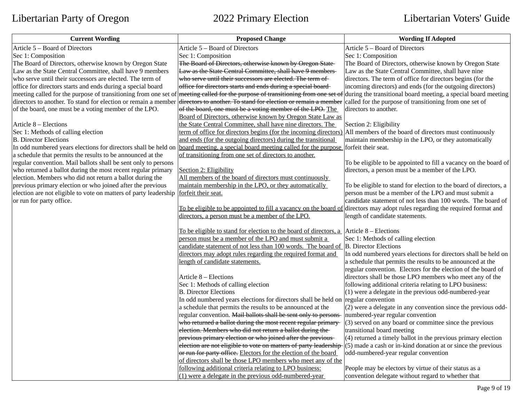| <b>Current Wording</b>                                           | <b>Proposed Change</b>                                                                                                          | <b>Wording If Adopted</b>                                         |
|------------------------------------------------------------------|---------------------------------------------------------------------------------------------------------------------------------|-------------------------------------------------------------------|
| Article 5 - Board of Directors                                   | Article 5 - Board of Directors                                                                                                  | Article 5 - Board of Directors                                    |
| Sec 1: Composition                                               | Sec 1: Composition                                                                                                              | Sec 1: Composition                                                |
| The Board of Directors, otherwise known by Oregon State          | The Board of Directors, otherwise known by Oregon State-                                                                        | The Board of Directors, otherwise known by Oregon State           |
| Law as the State Central Committee, shall have 9 members         | Law as the State Central Committee, shall have 9 members                                                                        | Law as the State Central Committee, shall have nine               |
| who serve until their successors are elected. The term of        | who serve until their successors are elected. The term of                                                                       | directors. The term of office for directors begins (for the       |
| office for directors starts and ends during a special board      | office for directors starts and ends during a special board-                                                                    | incoming directors) and ends (for the outgoing directors)         |
|                                                                  | meeting called for the purpose of transitioning from one set of meeting called for the purpose of transitioning from one set of | during the transitional board meeting, a special board meeting    |
| directors to another. To stand for election or remain a member   | directors to another. To stand for election or remain a member                                                                  | called for the purpose of transitioning from one set of           |
| of the board, one must be a voting member of the LPO.            | of the board, one must be a voting member of the LPO. The                                                                       | directors to another.                                             |
|                                                                  | Board of Directors, otherwise known by Oregon State Law as                                                                      |                                                                   |
| Article 8 - Elections                                            | the State Central Committee, shall have nine directors. The                                                                     | Section 2: Eligibility                                            |
| Sec 1: Methods of calling election                               | term of office for directors begins (for the incoming directors)                                                                | All members of the board of directors must continuously           |
| <b>B. Director Elections</b>                                     | and ends (for the outgoing directors) during the transitional                                                                   | maintain membership in the LPO, or they automatically             |
| In odd numbered years elections for directors shall be held on   | board meeting, a special board meeting called for the purpose forfeit their seat.                                               |                                                                   |
| a schedule that permits the results to be announced at the       | of transitioning from one set of directors to another.                                                                          |                                                                   |
| regular convention. Mail ballots shall be sent only to persons   |                                                                                                                                 | To be eligible to be appointed to fill a vacancy on the board of  |
| who returned a ballot during the most recent regular primary     | Section 2: Eligibility                                                                                                          | directors, a person must be a member of the LPO.                  |
| election. Members who did not return a ballot during the         | All members of the board of directors must continuously                                                                         |                                                                   |
| previous primary election or who joined after the previous       | maintain membership in the LPO, or they automatically                                                                           | To be eligible to stand for election to the board of directors, a |
| election are not eligible to vote on matters of party leadership | forfeit their seat.                                                                                                             | person must be a member of the LPO and must submit a              |
| or run for party office.                                         |                                                                                                                                 | candidate statement of not less than 100 words. The board of      |
|                                                                  | To be eligible to be appointed to fill a vacancy on the board of directors may adopt rules regarding the required format and    |                                                                   |
|                                                                  | directors, a person must be a member of the LPO.                                                                                | length of candidate statements.                                   |
|                                                                  | <u>To be eligible to stand for election to the board of directors, a</u> $\vert$ Article 8 – Elections                          |                                                                   |
|                                                                  | person must be a member of the LPO and must submit a                                                                            | Sec 1: Methods of calling election                                |
|                                                                  | candidate statement of not less than 100 words. The board of B. Director Elections                                              |                                                                   |
|                                                                  | directors may adopt rules regarding the required format and                                                                     | In odd numbered years elections for directors shall be held on    |
|                                                                  | length of candidate statements.                                                                                                 | a schedule that permits the results to be announced at the        |
|                                                                  |                                                                                                                                 | regular convention. Electors for the election of the board of     |
|                                                                  | Article 8 - Elections                                                                                                           | directors shall be those LPO members who meet any of the          |
|                                                                  | Sec 1: Methods of calling election                                                                                              | following additional criteria relating to LPO business:           |
|                                                                  | <b>B. Director Elections</b>                                                                                                    | $(1)$ were a delegate in the previous odd-numbered-year           |
|                                                                  | In odd numbered years elections for directors shall be held on regular convention                                               |                                                                   |
|                                                                  | a schedule that permits the results to be announced at the                                                                      | (2) were a delegate in any convention since the previous odd-     |
|                                                                  | regular convention. Mail ballots shall be sent only to persons                                                                  | numbered-year regular convention                                  |
|                                                                  | who returned a ballot during the most recent regular primary-                                                                   | $(3)$ served on any board or committee since the previous         |
|                                                                  | election. Members who did not return a ballot during the-                                                                       | transitional board meeting                                        |
|                                                                  | previous primary election or who joined after the previous-                                                                     | (4) returned a timely ballot in the previous primary election     |
|                                                                  | election are not eligible to vote on matters of party leadership (5) made a cash or in-kind donation at or since the previous   |                                                                   |
|                                                                  | or run for party office. Electors for the election of the board                                                                 | odd-numbered-year regular convention                              |
|                                                                  | of directors shall be those LPO members who meet any of the                                                                     |                                                                   |
|                                                                  | following additional criteria relating to LPO business:                                                                         | People may be electors by virtue of their status as a             |
|                                                                  | (1) were a delegate in the previous odd-numbered-year                                                                           | convention delegate without regard to whether that                |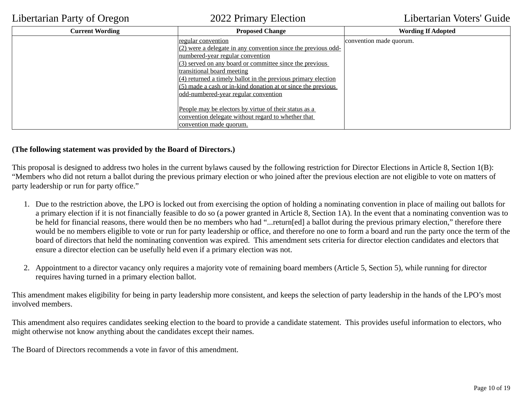| <b>Current Wording</b> | <b>Proposed Change</b>                                          | <b>Wording If Adopted</b> |
|------------------------|-----------------------------------------------------------------|---------------------------|
|                        | <u>regular convention</u>                                       | convention made quorum.   |
|                        | $(2)$ were a delegate in any convention since the previous odd- |                           |
|                        | numbered-year regular convention                                |                           |
|                        | $(3)$ served on any board or committee since the previous       |                           |
|                        | transitional board meeting                                      |                           |
|                        | $(4)$ returned a timely ballot in the previous primary election |                           |
|                        | $(5)$ made a cash or in-kind donation at or since the previous  |                           |
|                        | <u>odd-numbered-year regular convention</u>                     |                           |
|                        |                                                                 |                           |
|                        | People may be electors by virtue of their status as a           |                           |
|                        | convention delegate without regard to whether that              |                           |
|                        | convention made quorum.                                         |                           |

## **(The following statement was provided by the Board of Directors.)**

This proposal is designed to address two holes in the current bylaws caused by the following restriction for Director Elections in Article 8, Section 1(B): "Members who did not return a ballot during the previous primary election or who joined after the previous election are not eligible to vote on matters of party leadership or run for party office."

- 1. Due to the restriction above, the LPO is locked out from exercising the option of holding a nominating convention in place of mailing out ballots for a primary election if it is not financially feasible to do so (a power granted in Article 8, Section 1A). In the event that a nominating convention was to be held for financial reasons, there would then be no members who had "...return[ed] a ballot during the previous primary election," therefore there would be no members eligible to vote or run for party leadership or office, and therefore no one to form a board and run the party once the term of the board of directors that held the nominating convention was expired. This amendment sets criteria for director election candidates and electors that ensure a director election can be usefully held even if a primary election was not.
- 2. Appointment to a director vacancy only requires a majority vote of remaining board members (Article 5, Section 5), while running for director requires having turned in a primary election ballot.

This amendment makes eligibility for being in party leadership more consistent, and keeps the selection of party leadership in the hands of the LPO's most involved members.

This amendment also requires candidates seeking election to the board to provide a candidate statement. This provides useful information to electors, who might otherwise not know anything about the candidates except their names.

The Board of Directors recommends a vote in favor of this amendment.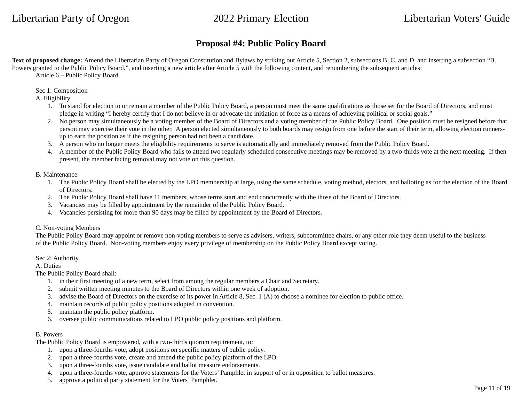## **Proposal #4: Public Policy Board**

**Text of proposed change:** Amend the Libertarian Party of Oregon Constitution and Bylaws by striking out Article 5, Section 2, subsections B, C, and D, and inserting a subsection "B. Powers granted to the Public Policy Board.", and inserting a new article after Article 5 with the following content, and renumbering the subsequent articles: Article 6 – Public Policy Board

Sec 1: Composition

A. Eligibility

- 1. To stand for election to or remain a member of the Public Policy Board, a person must meet the same qualifications as those set for the Board of Directors, and must pledge in writing "I hereby certify that I do not believe in or advocate the initiation of force as a means of achieving political or social goals."
- 2. No person may simultaneously be a voting member of the Board of Directors and a voting member of the Public Policy Board. One position must be resigned before that person may exercise their vote in the other. A person elected simultaneously to both boards may resign from one before the start of their term, allowing election runnersup to earn the position as if the resigning person had not been a candidate.
- 3. A person who no longer meets the eligibility requirements to serve is automatically and immediately removed from the Public Policy Board.
- 4. A member of the Public Policy Board who fails to attend two regularly scheduled consecutive meetings may be removed by a two-thirds vote at the next meeting. If then present, the member facing removal may not vote on this question.

B. Maintenance

- 1. The Public Policy Board shall be elected by the LPO membership at large, using the same schedule, voting method, electors, and balloting as for the election of the Board of Directors.
- 2. The Public Policy Board shall have 11 members, whose terms start and end concurrently with the those of the Board of Directors.
- 3. Vacancies may be filled by appointment by the remainder of the Public Policy Board.
- 4. Vacancies persisting for more than 90 days may be filled by appointment by the Board of Directors.

### C. Non-voting Members

The Public Policy Board may appoint or remove non-voting members to serve as advisers, writers, subcommittee chairs, or any other role they deem useful to the business of the Public Policy Board. Non-voting members enjoy every privilege of membership on the Public Policy Board except voting.

Sec 2: Authority

A. Duties

The Public Policy Board shall:

- 1. in their first meeting of a new term, select from among the regular members a Chair and Secretary.
- 2. submit written meeting minutes to the Board of Directors within one week of adoption.
- 3. advise the Board of Directors on the exercise of its power in Article 8, Sec. 1 (A) to choose a nominee for election to public office.
- 4. maintain records of public policy positions adopted in convention.
- 5. maintain the public policy platform.
- 6. oversee public communications related to LPO public policy positions and platform.

### B. Powers

The Public Policy Board is empowered, with a two-thirds quorum requirement, to:

- 1. upon a three-fourths vote, adopt positions on specific matters of public policy.
- 2. upon a three-fourths vote, create and amend the public policy platform of the LPO.
- 3. upon a three-fourths vote, issue candidate and ballot measure endorsements.
- 4. upon a three-fourths vote, approve statements for the Voters' Pamphlet in support of or in opposition to ballot measures.
- 5. approve a political party statement for the Voters' Pamphlet.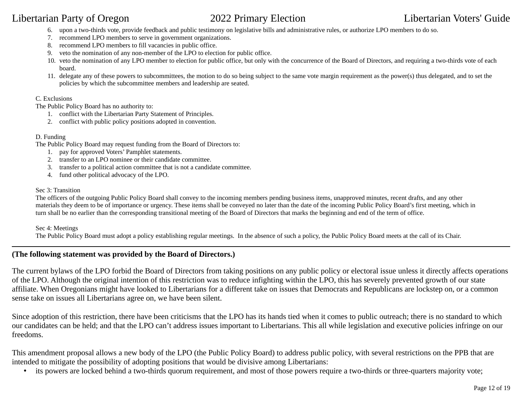- 6. upon a two-thirds vote, provide feedback and public testimony on legislative bills and administrative rules, or authorize LPO members to do so.
- 7. recommend LPO members to serve in government organizations.
- 8. recommend LPO members to fill vacancies in public office.
- 9. veto the nomination of any non-member of the LPO to election for public office.
- 10. veto the nomination of any LPO member to election for public office, but only with the concurrence of the Board of Directors, and requiring a two-thirds vote of each board.
- 11. delegate any of these powers to subcommittees, the motion to do so being subject to the same vote margin requirement as the power(s) thus delegated, and to set the policies by which the subcommittee members and leadership are seated.

### C. Exclusions

The Public Policy Board has no authority to:

- 1. conflict with the Libertarian Party Statement of Principles.
- 2. conflict with public policy positions adopted in convention.

### D. Funding

The Public Policy Board may request funding from the Board of Directors to:

- 1. pay for approved Voters' Pamphlet statements.
- 2. transfer to an LPO nominee or their candidate committee.
- 3. transfer to a political action committee that is not a candidate committee.
- 4. fund other political advocacy of the LPO.

### Sec 3: Transition

The officers of the outgoing Public Policy Board shall convey to the incoming members pending business items, unapproved minutes, recent drafts, and any other materials they deem to be of importance or urgency. These items shall be conveyed no later than the date of the incoming Public Policy Board's first meeting, which in turn shall be no earlier than the corresponding transitional meeting of the Board of Directors that marks the beginning and end of the term of office.

### Sec 4: Meetings

The Public Policy Board must adopt a policy establishing regular meetings. In the absence of such a policy, the Public Policy Board meets at the call of its Chair.

### **(The following statement was provided by the Board of Directors.)**

The current bylaws of the LPO forbid the Board of Directors from taking positions on any public policy or electoral issue unless it directly affects operations of the LPO. Although the original intention of this restriction was to reduce infighting within the LPO, this has severely prevented growth of our state affiliate. When Oregonians might have looked to Libertarians for a different take on issues that Democrats and Republicans are lockstep on, or a common sense take on issues all Libertarians agree on, we have been silent.

Since adoption of this restriction, there have been criticisms that the LPO has its hands tied when it comes to public outreach; there is no standard to which our candidates can be held; and that the LPO can't address issues important to Libertarians. This all while legislation and executive policies infringe on our freedoms.

This amendment proposal allows a new body of the LPO (the Public Policy Board) to address public policy, with several restrictions on the PPB that are intended to mitigate the possibility of adopting positions that would be divisive among Libertarians:

• its powers are locked behind a two-thirds quorum requirement, and most of those powers require a two-thirds or three-quarters majority vote;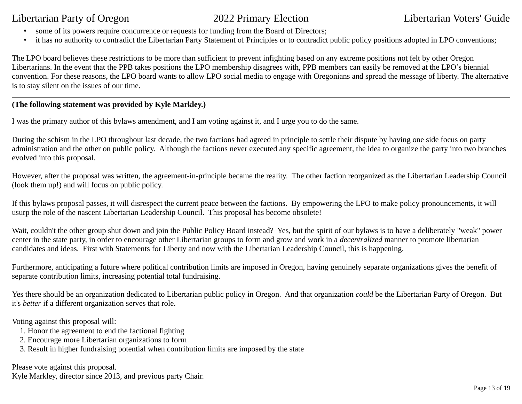- some of its powers require concurrence or requests for funding from the Board of Directors;
- it has no authority to contradict the Libertarian Party Statement of Principles or to contradict public policy positions adopted in LPO conventions;

The LPO board believes these restrictions to be more than sufficient to prevent infighting based on any extreme positions not felt by other Oregon Libertarians. In the event that the PPB takes positions the LPO membership disagrees with, PPB members can easily be removed at the LPO's biennial convention. For these reasons, the LPO board wants to allow LPO social media to engage with Oregonians and spread the message of liberty. The alternative is to stay silent on the issues of our time.

## **(The following statement was provided by Kyle Markley.)**

I was the primary author of this bylaws amendment, and I am voting against it, and I urge you to do the same.

During the schism in the LPO throughout last decade, the two factions had agreed in principle to settle their dispute by having one side focus on party administration and the other on public policy. Although the factions never executed any specific agreement, the idea to organize the party into two branches evolved into this proposal.

However, after the proposal was written, the agreement-in-principle became the reality. The other faction reorganized as the Libertarian Leadership Council (look them up!) and will focus on public policy.

If this bylaws proposal passes, it will disrespect the current peace between the factions. By empowering the LPO to make policy pronouncements, it will usurp the role of the nascent Libertarian Leadership Council. This proposal has become obsolete!

Wait, couldn't the other group shut down and join the Public Policy Board instead? Yes, but the spirit of our bylaws is to have a deliberately "weak" power center in the state party, in order to encourage other Libertarian groups to form and grow and work in a *decentralized* manner to promote libertarian candidates and ideas. First with Statements for Liberty and now with the Libertarian Leadership Council, this is happening.

Furthermore, anticipating a future where political contribution limits are imposed in Oregon, having genuinely separate organizations gives the benefit of separate contribution limits, increasing potential total fundraising.

Yes there should be an organization dedicated to Libertarian public policy in Oregon. And that organization *could* be the Libertarian Party of Oregon. But it's *better* if a different organization serves that role.

Voting against this proposal will:

- 1. Honor the agreement to end the factional fighting
- 2. Encourage more Libertarian organizations to form
- 3. Result in higher fundraising potential when contribution limits are imposed by the state

Please vote against this proposal.

Kyle Markley, director since 2013, and previous party Chair.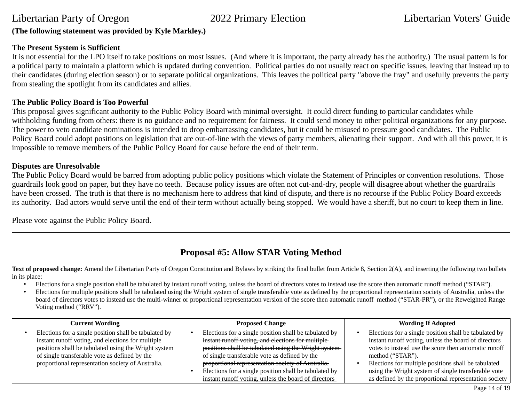## **(The following statement was provided by Kyle Markley.)**

### **The Present System is Sufficient**

It is not essential for the LPO itself to take positions on most issues. (And where it is important, the party already has the authority.) The usual pattern is for a political party to maintain a platform which is updated during convention. Political parties do not usually react on specific issues, leaving that instead up to their candidates (during election season) or to separate political organizations. This leaves the political party "above the fray" and usefully prevents the party from stealing the spotlight from its candidates and allies.

### **The Public Policy Board is Too Powerful**

This proposal gives significant authority to the Public Policy Board with minimal oversight. It could direct funding to particular candidates while withholding funding from others: there is no guidance and no requirement for fairness. It could send money to other political organizations for any purpose. The power to veto candidate nominations is intended to drop embarrassing candidates, but it could be misused to pressure good candidates. The Public Policy Board could adopt positions on legislation that are out-of-line with the views of party members, alienating their support. And with all this power, it is impossible to remove members of the Public Policy Board for cause before the end of their term.

### **Disputes are Unresolvable**

The Public Policy Board would be barred from adopting public policy positions which violate the Statement of Principles or convention resolutions. Those guardrails look good on paper, but they have no teeth. Because policy issues are often not cut-and-dry, people will disagree about whether the guardrails have been crossed. The truth is that there is no mechanism here to address that kind of dispute, and there is no recourse if the Public Policy Board exceeds its authority. Bad actors would serve until the end of their term without actually being stopped. We would have a sheriff, but no court to keep them in line.

Please vote against the Public Policy Board.

## **Proposal #5: Allow STAR Voting Method**

Text of proposed change: Amend the Libertarian Party of Oregon Constitution and Bylaws by striking the final bullet from Article 8, Section 2(A), and inserting the following two bullets in its place:

- Elections for a single position shall be tabulated by instant runoff voting, unless the board of directors votes to instead use the score then automatic runoff method ("STAR").
- Elections for multiple positions shall be tabulated using the Wright system of single transferable vote as defined by the proportional representation society of Australia, unless the board of directors votes to instead use the multi-winner or proportional representation version of the score then automatic runoff method ("STAR-PR"), or the Reweighted Range Voting method ("RRV").

| <b>Current Wording</b>                                                                                                                                                                                                                                                   | <b>Proposed Change</b>                                                                                                                                                                                                                                                                                                                                                                       | <b>Wording If Adopted</b>                                                                                                                                                                                                                                                                                                                                                    |
|--------------------------------------------------------------------------------------------------------------------------------------------------------------------------------------------------------------------------------------------------------------------------|----------------------------------------------------------------------------------------------------------------------------------------------------------------------------------------------------------------------------------------------------------------------------------------------------------------------------------------------------------------------------------------------|------------------------------------------------------------------------------------------------------------------------------------------------------------------------------------------------------------------------------------------------------------------------------------------------------------------------------------------------------------------------------|
| Elections for a single position shall be tabulated by<br>instant runoff voting, and elections for multiple<br>positions shall be tabulated using the Wright system<br>of single transferable vote as defined by the<br>proportional representation society of Australia. | Elections for a single position shall be tabulated by<br>instant runoff voting, and elections for multiple-<br>positions shall be tabulated using the Wright system-<br>of single transferable vote as defined by the-<br>proportional representation society of Australia.<br>Elections for a single position shall be tabulated by<br>instant runoff voting, unless the board of directors | Elections for a single position shall be tabulated by $\parallel$<br>instant runoff voting, unless the board of directors<br>votes to instead use the score then automatic runoff<br>method ("STAR").<br>Elections for multiple positions shall be tabulated<br>using the Wright system of single transferable vote<br>as defined by the proportional representation society |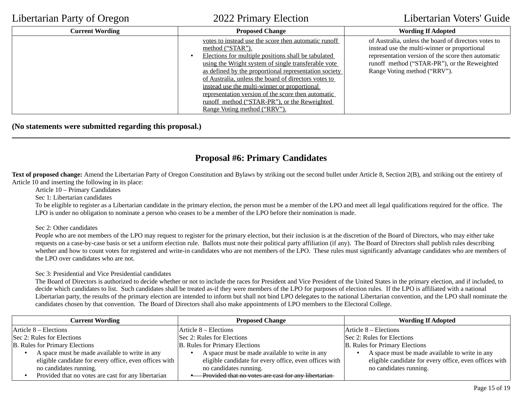| <b>Current Wording</b> | <b>Proposed Change</b>                                                                                                                                                                                                                                                                                                                                                                                                                                                                        | <b>Wording If Adopted</b>                                                                                                                                                                                                                  |
|------------------------|-----------------------------------------------------------------------------------------------------------------------------------------------------------------------------------------------------------------------------------------------------------------------------------------------------------------------------------------------------------------------------------------------------------------------------------------------------------------------------------------------|--------------------------------------------------------------------------------------------------------------------------------------------------------------------------------------------------------------------------------------------|
|                        | votes to instead use the score then automatic runoff<br>method ("STAR").<br>Elections for multiple positions shall be tabulated<br>using the Wright system of single transferable vote<br>as defined by the proportional representation society<br>of Australia, unless the board of directors votes to<br>instead use the multi-winner or proportional<br>representation version of the score then automatic<br>runoff method ("STAR-PR"), or the Reweighted<br>Range Voting method ("RRV"). | of Australia, unless the board of directors votes to<br>instead use the multi-winner or proportional<br>representation version of the score then automatic<br>runoff method ("STAR-PR"), or the Reweighted<br>Range Voting method ("RRV"). |

**(No statements were submitted regarding this proposal.)**

## **Proposal #6: Primary Candidates**

Text of proposed change: Amend the Libertarian Party of Oregon Constitution and Bylaws by striking out the second bullet under Article 8, Section 2(B), and striking out the entirety of Article 10 and inserting the following in its place:

Article 10 – Primary Candidates

Sec 1: Libertarian candidates

To be eligible to register as a Libertarian candidate in the primary election, the person must be a member of the LPO and meet all legal qualifications required for the office. The LPO is under no obligation to nominate a person who ceases to be a member of the LPO before their nomination is made.

Sec 2: Other candidates

People who are not members of the LPO may request to register for the primary election, but their inclusion is at the discretion of the Board of Directors, who may either take requests on a case-by-case basis or set a uniform election rule. Ballots must note their political party affiliation (if any). The Board of Directors shall publish rules describing whether and how to count votes for registered and write-in candidates who are not members of the LPO. These rules must significantly advantage candidates who are members of the LPO over candidates who are not.

Sec 3: Presidential and Vice Presidential candidates

The Board of Directors is authorized to decide whether or not to include the races for President and Vice President of the United States in the primary election, and if included, to decide which candidates to list. Such candidates shall be treated as-if they were members of the LPO for purposes of election rules. If the LPO is affiliated with a national Libertarian party, the results of the primary election are intended to inform but shall not bind LPO delegates to the national Libertarian convention, and the LPO shall nominate the candidates chosen by that convention. The Board of Directors shall also make appointments of LPO members to the Electoral College.

| <b>Current Wording</b>                                 | <b>Proposed Change</b>                                 | <b>Wording If Adopted</b>                              |
|--------------------------------------------------------|--------------------------------------------------------|--------------------------------------------------------|
| $Article$ 8 – Elections                                | Article 8 – Elections                                  | Article 8 – Elections                                  |
| Sec 2: Rules for Elections                             | Sec 2: Rules for Elections                             | Sec 2: Rules for Elections                             |
| B. Rules for Primary Elections                         | B. Rules for Primary Elections                         | B. Rules for Primary Elections                         |
| A space must be made available to write in any         | A space must be made available to write in any         | A space must be made available to write in any         |
| eligible candidate for every office, even offices with | eligible candidate for every office, even offices with | eligible candidate for every office, even offices with |
| no candidates running.                                 | no candidates running.                                 | no candidates running.                                 |
| Provided that no votes are cast for any libertarian    | -Provided that no votes are cast for any libertarian-  |                                                        |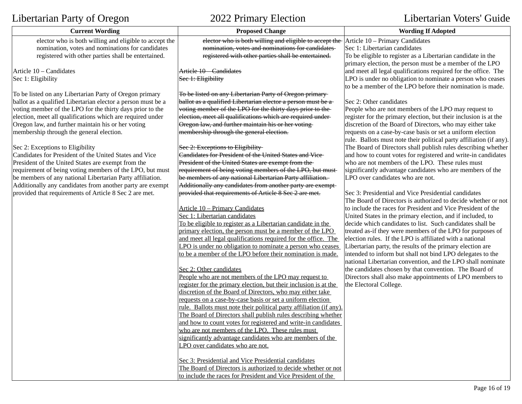| $\frac{1}{2}$                                                | $\frac{1}{2}$                                                                                  |                                                                                                                       |
|--------------------------------------------------------------|------------------------------------------------------------------------------------------------|-----------------------------------------------------------------------------------------------------------------------|
| <b>Current Wording</b>                                       | <b>Proposed Change</b>                                                                         | <b>Wording If Adopted</b>                                                                                             |
| elector who is both willing and eligible to accept the       | elector who is both willing and eligible to accept the $\vert$ Article 10 – Primary Candidates |                                                                                                                       |
| nomination, votes and nominations for candidates             | nomination, votes and nominations for candidates-                                              | Sec 1: Libertarian candidates                                                                                         |
| registered with other parties shall be entertained.          | registered with other parties shall be entertained.                                            | To be eligible to register as a Libertarian candidate in the                                                          |
|                                                              |                                                                                                | primary election, the person must be a member of the LPO                                                              |
| Article 10 - Candidates                                      | Article 10 - Candidates                                                                        | and meet all legal qualifications required for the office. The                                                        |
| Sec 1: Eligibility                                           | Sec 1: Eligibility                                                                             | LPO is under no obligation to nominate a person who ceases                                                            |
|                                                              |                                                                                                | to be a member of the LPO before their nomination is made.                                                            |
| To be listed on any Libertarian Party of Oregon primary      | To be listed on any Libertarian Party of Oregon primary-                                       |                                                                                                                       |
| ballot as a qualified Libertarian elector a person must be a | ballot as a qualified Libertarian elector a person must be a                                   | Sec 2: Other candidates                                                                                               |
| voting member of the LPO for the thirty days prior to the    | voting member of the LPO for the thirty days prior to the-                                     | People who are not members of the LPO may request to                                                                  |
| election, meet all qualifications which are required under   | election, meet all qualifications which are required under-                                    | register for the primary election, but their inclusion is at the                                                      |
| Oregon law, and further maintain his or her voting           | Oregon law, and further maintain his or her voting-                                            | discretion of the Board of Directors, who may either take                                                             |
| membership through the general election.                     | membership through the general election.                                                       | requests on a case-by-case basis or set a uniform election                                                            |
|                                                              |                                                                                                | rule. Ballots must note their political party affiliation (if any).                                                   |
| Sec 2: Exceptions to Eligibility                             | Sec 2: Exceptions to Eligibility                                                               | The Board of Directors shall publish rules describing whether                                                         |
| Candidates for President of the United States and Vice       | <b>Candidates for President of the United States and Vice-</b>                                 | and how to count votes for registered and write-in candidates                                                         |
| President of the United States are exempt from the           | President of the United States are exempt from the-                                            | who are not members of the LPO. These rules must                                                                      |
| requirement of being voting members of the LPO, but must     | requirement of being voting members of the LPO, but must                                       | significantly advantage candidates who are members of the                                                             |
| be members of any national Libertarian Party affiliation.    | be members of any national Libertarian Party affiliation.                                      | LPO over candidates who are not.                                                                                      |
| Additionally any candidates from another party are exempt    | Additionally any candidates from another party are exempt-                                     |                                                                                                                       |
| provided that requirements of Article 8 Sec 2 are met.       | provided that requirements of Article 8 Sec 2 are met.                                         | Sec 3: Presidential and Vice Presidential candidates<br>The Board of Directors is authorized to decide whether or not |
|                                                              | Article 10 - Primary Candidates                                                                | to include the races for President and Vice President of the                                                          |
|                                                              | Sec 1: Libertarian candidates                                                                  | United States in the primary election, and if included, to                                                            |
|                                                              | To be eligible to register as a Libertarian candidate in the                                   | decide which candidates to list. Such candidates shall be                                                             |
|                                                              | primary election, the person must be a member of the LPO                                       | treated as-if they were members of the LPO for purposes of                                                            |
|                                                              | and meet all legal qualifications required for the office. The                                 | election rules. If the LPO is affiliated with a national                                                              |
|                                                              | LPO is under no obligation to nominate a person who ceases                                     | Libertarian party, the results of the primary election are                                                            |
|                                                              | to be a member of the LPO before their nomination is made.                                     | intended to inform but shall not bind LPO delegates to the                                                            |
|                                                              |                                                                                                | national Libertarian convention, and the LPO shall nominate                                                           |
|                                                              | Sec 2: Other candidates                                                                        | the candidates chosen by that convention. The Board of                                                                |
|                                                              | People who are not members of the LPO may request to                                           | Directors shall also make appointments of LPO members to                                                              |
|                                                              | register for the primary election, but their inclusion is at the                               | the Electoral College.                                                                                                |
|                                                              | discretion of the Board of Directors, who may either take                                      |                                                                                                                       |
|                                                              | requests on a case-by-case basis or set a uniform election                                     |                                                                                                                       |
|                                                              | rule. Ballots must note their political party affiliation (if any).                            |                                                                                                                       |
|                                                              | The Board of Directors shall publish rules describing whether                                  |                                                                                                                       |
|                                                              | and how to count votes for registered and write-in candidates                                  |                                                                                                                       |
|                                                              | who are not members of the LPO. These rules must                                               |                                                                                                                       |
|                                                              | significantly advantage candidates who are members of the                                      |                                                                                                                       |
|                                                              | LPO over candidates who are not.                                                               |                                                                                                                       |
|                                                              |                                                                                                |                                                                                                                       |
|                                                              | Sec 3: Presidential and Vice Presidential candidates                                           |                                                                                                                       |
|                                                              | The Board of Directors is authorized to decide whether or not                                  |                                                                                                                       |
|                                                              | to include the races for President and Vice President of the                                   |                                                                                                                       |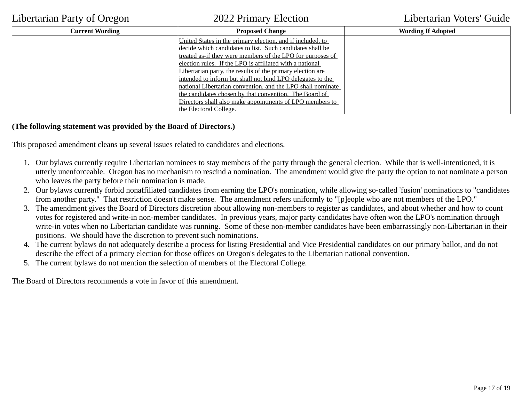| <b>Current Wording</b> | <b>Proposed Change</b>                                      | <b>Wording If Adopted</b> |
|------------------------|-------------------------------------------------------------|---------------------------|
|                        | United States in the primary election, and if included, to  |                           |
|                        | decide which candidates to list. Such candidates shall be   |                           |
|                        | treated as-if they were members of the LPO for purposes of  |                           |
|                        | election rules. If the LPO is affiliated with a national    |                           |
|                        | Libertarian party, the results of the primary election are  |                           |
|                        | intended to inform but shall not bind LPO delegates to the  |                           |
|                        | national Libertarian convention, and the LPO shall nominate |                           |
|                        | the candidates chosen by that convention. The Board of      |                           |
|                        | Directors shall also make appointments of LPO members to    |                           |
|                        | the Electoral College.                                      |                           |

## **(The following statement was provided by the Board of Directors.)**

This proposed amendment cleans up several issues related to candidates and elections.

- 1. Our bylaws currently require Libertarian nominees to stay members of the party through the general election. While that is well-intentioned, it is utterly unenforceable. Oregon has no mechanism to rescind a nomination. The amendment would give the party the option to not nominate a person who leaves the party before their nomination is made.
- 2. Our bylaws currently forbid nonaffiliated candidates from earning the LPO's nomination, while allowing so-called 'fusion' nominations to "candidates from another party." That restriction doesn't make sense. The amendment refers uniformly to "[p]eople who are not members of the LPO."
- 3. The amendment gives the Board of Directors discretion about allowing non-members to register as candidates, and about whether and how to count votes for registered and write-in non-member candidates. In previous years, major party candidates have often won the LPO's nomination through write-in votes when no Libertarian candidate was running. Some of these non-member candidates have been embarrassingly non-Libertarian in their positions. We should have the discretion to prevent such nominations.
- 4. The current bylaws do not adequately describe a process for listing Presidential and Vice Presidential candidates on our primary ballot, and do not describe the effect of a primary election for those offices on Oregon's delegates to the Libertarian national convention.
- 5. The current bylaws do not mention the selection of members of the Electoral College.

The Board of Directors recommends a vote in favor of this amendment.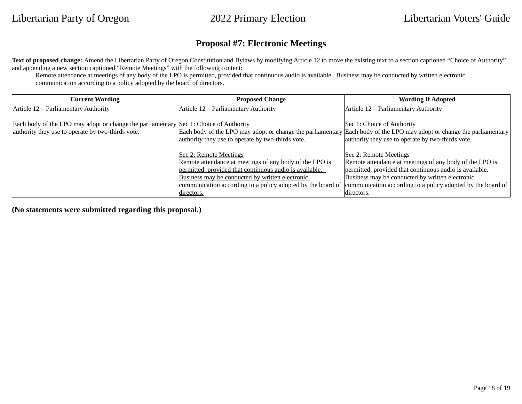## **Proposal #7: Electronic Meetings**

Text of proposed change: Amend the Libertarian Party of Oregon Constitution and Bylaws by modifying Article 12 to move the existing text to a section captioned "Choice of Authority" and appending a new section captioned "Remote Meetings" with the following content:

Remote attendance at meetings of any body of the LPO is permitted, provided that continuous audio is available. Business may be conducted by written electronic communication according to a policy adopted by the board of directors.

| <b>Current Wording</b>                                                                                                                                                    | <b>Proposed Change</b>                                  | <b>Wording If Adopted</b>                                                                                                                                                                                |
|---------------------------------------------------------------------------------------------------------------------------------------------------------------------------|---------------------------------------------------------|----------------------------------------------------------------------------------------------------------------------------------------------------------------------------------------------------------|
| Article 12 – Parliamentary Authority                                                                                                                                      | Article 12 - Parliamentary Authority                    | Article 12 - Parliamentary Authority                                                                                                                                                                     |
| Each body of the LPO may adopt or change the parliamentary $\left  \underline{\text{Sec}} \ 1$ : Choice of Authority<br>authority they use to operate by two-thirds vote. | authority they use to operate by two-thirds vote.       | Sec 1: Choice of Authority<br>Each body of the LPO may adopt or change the parliamentary Each body of the LPO may adopt or change the parliamentary<br>authority they use to operate by two-thirds vote. |
|                                                                                                                                                                           | <b>Sec 2: Remote Meetings</b>                           | Sec 2: Remote Meetings                                                                                                                                                                                   |
|                                                                                                                                                                           | Remote attendance at meetings of any body of the LPO is | Remote attendance at meetings of any body of the LPO is                                                                                                                                                  |
|                                                                                                                                                                           | permitted, provided that continuous audio is available. | permitted, provided that continuous audio is available.                                                                                                                                                  |
|                                                                                                                                                                           | Business may be conducted by written electronic         | Business may be conducted by written electronic                                                                                                                                                          |
|                                                                                                                                                                           |                                                         | communication according to a policy adopted by the board of communication according to a policy adopted by the board of                                                                                  |
|                                                                                                                                                                           | directors.                                              | directors.                                                                                                                                                                                               |

**(No statements were submitted regarding this proposal.)**